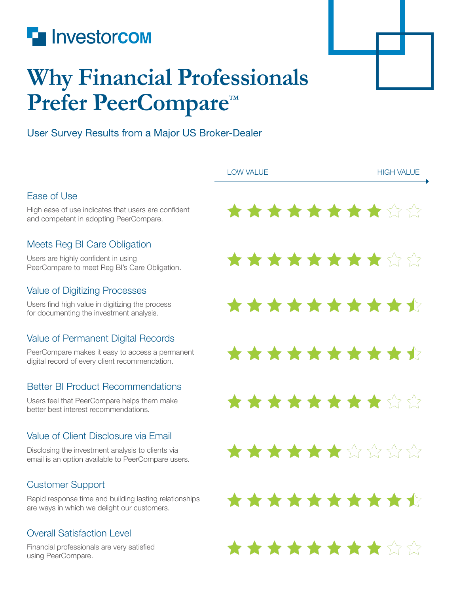

## **Why Financial Professionals**  Prefer PeerCompare<sup>™</sup>

## User Survey Results from a Major US Broker-Dealer

|                                                                                                         | <b>LOW VALUE</b> | <b>HIGH VALUE</b> |
|---------------------------------------------------------------------------------------------------------|------------------|-------------------|
| Ease of Use                                                                                             |                  |                   |
| High ease of use indicates that users are confident<br>and competent in adopting PeerCompare.           | **********       |                   |
| Meets Reg BI Care Obligation                                                                            |                  |                   |
| Users are highly confident in using<br>PeerCompare to meet Reg Bl's Care Obligation.                    | **********       |                   |
| <b>Value of Digitizing Processes</b>                                                                    |                  |                   |
| Users find high value in digitizing the process<br>for documenting the investment analysis.             | **********       |                   |
| Value of Permanent Digital Records                                                                      |                  |                   |
| PeerCompare makes it easy to access a permanent<br>digital record of every client recommendation.       | **********       |                   |
| <b>Better BI Product Recommendations</b>                                                                |                  |                   |
| Users feel that PeerCompare helps them make<br>better best interest recommendations.                    | **********       |                   |
| Value of Client Disclosure via Email                                                                    |                  |                   |
| Disclosing the investment analysis to clients via<br>email is an option available to PeerCompare users. | ★★★★★★☆☆☆☆       |                   |
| <b>Customer Support</b>                                                                                 |                  |                   |
| Rapid response time and building lasting relationships<br>are ways in which we delight our customers.   | **********       |                   |
| <b>Overall Satisfaction Level</b>                                                                       |                  |                   |
| Financial professionals are very satisfied<br>using PeerCompare.                                        | **********       |                   |